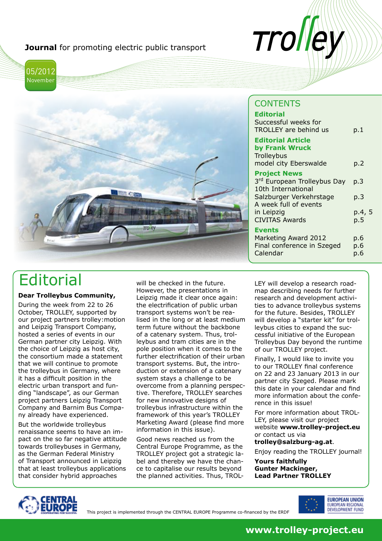**Journal** for promoting electric public transport





### **CONTENTS**

Trol

| <b>Editorial</b><br>Successful weeks for<br><b>TROLLEY</b> are behind us                                                                                            | p.1                         |
|---------------------------------------------------------------------------------------------------------------------------------------------------------------------|-----------------------------|
| <b>Editorial Article</b><br>by Frank Wruck<br>Trolleybus<br>model city Eberswalde                                                                                   | p.2                         |
| <b>Project News</b><br>3rd European Trolleybus Day<br>10th International<br>Salzburger Verkehrstage<br>A week full of events<br>in Leipzig<br><b>CIVITAS Awards</b> | p.3<br>p.3<br>p.4, 5<br>p.5 |
| <b>Events</b><br>Marketing Award 2012<br>Final conference in Szeged<br>Calendar                                                                                     | p.6<br>p.6<br>p.6           |

## **Editorial**

#### **Dear Trolleybus Community,**

During the week from 22 to 26 October, TROLLEY, supported by our project partners trolley:motion and Leipzig Transport Company, hosted a series of events in our German partner city Leipzig. With the choice of Leipzig as host city, the consortium made a statement that we will continue to promote the trolleybus in Germany, where it has a difficult position in the electric urban transport and funding "landscape", as our German project partners Leipzig Transport Company and Barnim Bus Company already have experienced.

But the worldwide trolleybus renaissance seems to have an impact on the so far negative attitude towards trolleybuses in Germany, as the German Federal Ministry of Transport announced in Leipzig that at least trolleybus applications that consider hybrid approaches

will be checked in the future. However, the presentations in Leipzig made it clear once again: the electrification of public urban transport systems won't be realised in the long or at least medium term future without the backbone of a catenary system. Thus, trolleybus and tram cities are in the pole position when it comes to the further electrification of their urban transport systems. But, the introduction or extension of a catenary system stays a challenge to be overcome from a planning perspective. Therefore, TROLLEY searches for new innovative designs of trolleybus infrastructure within the framework of this year's TROLLEY Marketing Award (please find more information in this issue).

Good news reached us from the Central Europe Programme, as the TROLLEY project got a strategic label and thereby we have the chance to capitalise our results beyond the planned activities. Thus, TROL- LEY will develop a research roadmap describing needs for further research and development activities to advance trolleybus systems for the future. Besides, TROLLEY will develop a "starter kit" for trolleybus cities to expand the successful initiative of the European Trolleybus Day beyond the runtime of our TROLLEY project.

Finally, I would like to invite you to our TROLLEY final conference on 22 and 23 January 2013 in our partner city Szeged. Please mark this date in your calendar and find more information about the conference in this issue!

For more information about TROL-LEY, please visit our project website **www.trolley-project.eu** or contact us via

**trolley@salzburg-ag.at**.

Enjoy reading the TROLLEY journal!

**Yours faithfully Gunter Mackinger, Lead Partner TROLLEY**



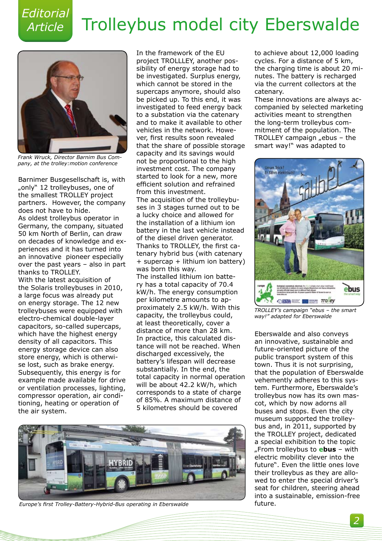### *Editorial Article*

## Trolleybus model city Eberswalde



*Frank Wruck, Director Barnim Bus Company, at the trolley:motion conference*

Barnimer Busgesellschaft is, with "only" 12 trolleybuses, one of the smallest TROLLEY project partners. However, the company does not have to hide. As oldest trolleybus operator in Germany, the company, situated 50 km North of Berlin, can draw on decades of knowledge and experiences and it has turned into an innovative pioneer especially over the past years – also in part thanks to TROLLEY. With the latest acquisition of the Solaris trolleybuses in 2010, a large focus was already put on energy storage. The 12 new trolleybuses were equipped with electro-chemical double-layer capacitors, so-called supercaps, which have the highest energy density of all capacitors. This energy storage device can also store energy, which is otherwise lost, such as brake energy. Subsequently, this energy is for example made available for drive or ventilation processes, lighting, compressor operation, air conditioning, heating or operation of the air system.

In the framework of the EU project TROLLLEY, another possibility of energy storage had to be investigated. Surplus energy, which cannot be stored in the supercaps anymore, should also be picked up. To this end, it was investigated to feed energy back to a substation via the catenary and to make it available to other vehicles in the network. However, first results soon revealed that the share of possible storage capacity and its savings would not be proportional to the high investment cost. The company started to look for a new, more efficient solution and refrained from this investment. The acquisition of the trolleybuses in 3 stages turned out to be a lucky choice and allowed for the installation of a lithium ion battery in the last vehicle instead of the diesel driven generator. Thanks to TROLLEY, the first catenary hybrid bus (with catenary + supercap + lithium ion battery) was born this way. The installed lithium ion battery has a total capacity of 70.4 kW/h. The energy consumption per kilometre amounts to approximately 2.5 kW/h. With this capacity, the trolleybus could, at least theoretically, cover a distance of more than 28 km. In practice, this calculated distance will not be reached. When discharged excessively, the battery's lifespan will decrease substantially. In the end, the total capacity in normal operation will be about 42.2 kW/h, which corresponds to a state of charge of 85%. A maximum distance of 5 kilometres should be covered



*Europe's first Trolley-Battery-Hybrid-Bus operating in Eberswalde*

to achieve about 12,000 loading cycles. For a distance of 5 km, the charging time is about 20 minutes. The battery is recharged via the current collectors at the catenary.

These innovations are always accompanied by selected marketing activities meant to strengthen the long-term trolleybus commitment of the population. The TROLLEY campaign  $n$ ebus - the smart way!" was adapted to



*TROLLEY's campaign "ebus – the smart way!" adapted for Eberswalde*

Eberswalde and also conveys an innovative, sustainable and future-oriented picture of the public transport system of this town. Thus it is not surprising, that the population of Eberswalde vehemently adheres to this system. Furthermore, Eberswalde's trolleybus now has its own mascot, which by now adorns all buses and stops. Even the city museum supported the trolleybus and, in 2011, supported by the TROLLEY project, dedicated a special exhibition to the topic "From trolleybus to **ebus** – with electric mobility clever into the future". Even the little ones love their trolleybus as they are allowed to enter the special driver's seat for children, steering ahead into a sustainable, emission-free future.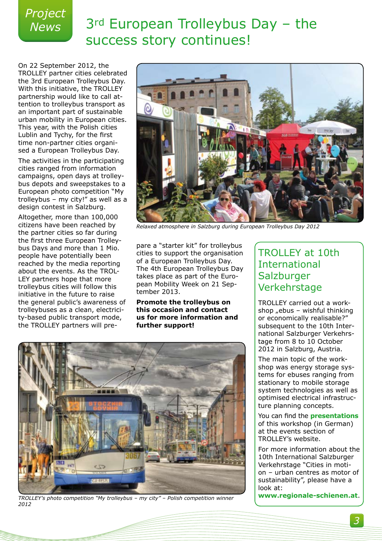# *Project*

## *News* 3rd European Trolleybus Day – the success story continues!

On 22 September 2012, the TROLLEY partner cities celebrated the 3rd European Trolleybus Day. With this initiative, the TROLLEY partnership would like to call attention to trolleybus transport as an important part of sustainable urban mobility in European cities. This year, with the Polish cities Lublin and Tychy, for the first time non-partner cities organised a European Trolleybus Day.

The activities in the participating cities ranged from information campaigns, open days at trolleybus depots and sweepstakes to a European photo competition "My trolleybus – my city!" as well as a design contest in Salzburg.

Altogether, more than 100,000 citizens have been reached by the partner cities so far during the first three European Trolleybus Days and more than 1 Mio. people have potentially been reached by the media reporting about the events. As the TROL-LEY partners hope that more trolleybus cities will follow this initiative in the future to raise the general public's awareness of trolleybuses as a clean, electricity-based public transport mode, the TROLLEY partners will pre-



*Relaxed atmosphere in Salzburg during European Trolleybus Day 2012*

pare a "starter kit" for trolleybus cities to support the organisation of a European Trolleybus Day. The 4th European Trolleybus Day takes place as part of the European Mobility Week on 21 September 2013.

**Promote the trolleybus on this occasion and contact us for more information and further support!**



*TROLLEY's photo competition "My trolleybus – my city" – Polish competition winner 2012*

### TROLLEY at 10th International **Salzburger** Verkehrstage

TROLLEY carried out a workshop  $n$ ebus – wishful thinking or economically realisable?" subsequent to the 10th International Salzburger Verkehrstage from 8 to 10 October 2012 in Salzburg, Austria.

The main topic of the workshop was energy storage systems for ebuses ranging from stationary to mobile storage system technologies as well as optimised electrical infrastructure planning concepts.

You can find the **[presentations](http://www.trolley-project.eu/index.php?id=65)** of this workshop (in German) at the events section of TROLLEY's website.

For more information about the 10th International Salzburger Verkehrstage "Cities in motion – urban centres as motor of sustainability", please have a look at:

**[www.regionale-schienen.at](http://www.regionale-schienen.at/3_Verkehrstage.asp?bereich=3)**.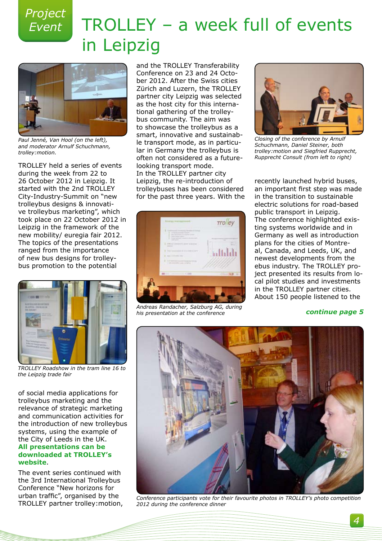*Project* 

## *Event* TROLLEY – a week full of events in Leipzig



*Paul Jenné, Van Hool (on the left), and moderator Arnulf Schuchmann, trolley:motion.*

TROLLEY held a series of events during the week from 22 to 26 October 2012 in Leipzig. It started with the 2nd TROLLEY City-Industry-Summit on "new trolleybus designs & innovative trolleybus marketing", which took place on 22 October 2012 in Leipzig in the framework of the new mobility/ euregia fair 2012. The topics of the presentations ranged from the importance of new bus designs for trolleybus promotion to the potential



*TROLLEY Roadshow in the tram line 16 to the Leipzig trade fair*

of social media applications for trolleybus marketing and the relevance of strategic marketing and communication activities for the introduction of new trolleybus systems, using the example of the City of Leeds in the UK. **[All presentations can be](http://www.trolley-project.eu/index.php?id=89)  [downloaded at TROLLEY's](http://www.trolley-project.eu/index.php?id=89)  [website](http://www.trolley-project.eu/index.php?id=89)**.

The event series continued with the 3rd International Trolleybus Conference "New horizons for urban traffic", organised by the TROLLEY partner trolley:motion, and the TROLLEY Transferability Conference on 23 and 24 October 2012. After the Swiss cities Zürich and Luzern, the TROLLEY partner city Leipzig was selected as the host city for this international gathering of the trolleybus community. The aim was to showcase the trolleybus as a smart, innovative and sustainable transport mode, as in particular in Germany the trolleybus is often not considered as a futurelooking transport mode. In the TROLLEY partner city Leipzig, the re-introduction of trolleybuses has been considered for the past three years. With the



*Andreas Randacher, Salzburg AG, during his presentation at the conference*



*Closing of the conference by Arnulf Schuchmann, Daniel Steiner, both trolley:motion and Siegfried Rupprecht, Rupprecht Consult (from left to right)*

recently launched hybrid buses, an important first step was made in the transition to sustainable electric solutions for road-based public transport in Leipzig. The conference highlighted existing systems worldwide and in Germany as well as introduction plans for the cities of Montreal, Canada, and Leeds, UK, and newest developments from the ebus industry. The TROLLEY project presented its results from local pilot studies and investments in the TROLLEY partner cities. About 150 people listened to the

*continue page 5*



*Conference participants vote for their favourite photos in TROLLEY's photo competition 2012 during the conference dinner*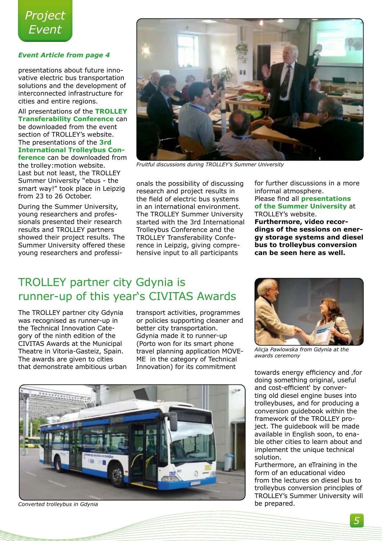

#### *Event Article from page 4*

presentations about future innovative electric bus transportation solutions and the development of interconnected infrastructure for cities and entire regions.

All presentations of the **[TROLLEY](http://www.trolley-project.eu/index.php?id=65&L=http%3A%2F%2Fwww.npk-spb.ru%2Fimages%2Fcircle.gif%3F) [Transferability Conference](http://www.trolley-project.eu/index.php?id=65&L=http%3A%2F%2Fwww.npk-spb.ru%2Fimages%2Fcircle.gif%3F)** can be downloaded from the event section of TROLLEY's website. The presentations of the **[3rd](http://trolleymotion.ch/index.php?id=129&L=0) [International Trolleybus Con-](http://trolleymotion.ch/index.php?id=129&L=0)**

**[ference](http://trolleymotion.ch/index.php?id=129&L=0)** can be downloaded from the trolley:motion website. Last but not least, the TROLLEY Summer University "ebus - the smart way!" took place in Leipzig from 23 to 26 October.

During the Summer University, young researchers and professionals presented their research results and TROLLEY partners showed their project results. The Summer University offered these young researchers and professi-



*Fruitful discussions during TROLLEY's Summer University* 

onals the possibility of discussing research and project results in the field of electric bus systems in an international environment. The TROLLEY Summer University started with the 3rd International Trolleybus Conference and the TROLLEY Transferability Conference in Leipzig, giving comprehensive input to all participants

for further discussions in a more informal atmosphere. Please find all **[presentations](http://www.trolley-project.eu/index.php?id=114)  [of the Summer University](http://www.trolley-project.eu/index.php?id=114)** at TROLLEY's website.

**Furthermore, video recordings of the sessions on energy storage systems and diesel bus to trolleybus conversion can be seen here as well.**

### TROLLEY partner city Gdynia is runner-up of this year's CIVITAS Awards

The TROLLEY partner city Gdynia was recognised as runner-up in the Technical Innovation Category of the ninth edition of the CIVITAS Awards at the Municipal Theatre in Vitoria-Gasteiz, Spain. The awards are given to cities that demonstrate ambitious urban

transport activities, programmes or policies supporting cleaner and better city transportation. Gdynia made it to runner-up (Porto won for its smart phone travel planning application MOVE-ME in the category of Technical Innovation) for its commitment



*Converted trolleybus in Gdynia*



*Alicja Pawlowska from Gdynia at the awards ceremony*

towards energy efficiency and , for doing something original, useful and cost-efficient' by converting old diesel engine buses into trolleybuses, and for producing a conversion guidebook within the framework of the TROLLEY project. The guidebook will be made available in English soon, to enable other cities to learn about and implement the unique technical solution.

Furthermore, an eTraining in the form of an educational video from the lectures on diesel bus to trolleybus conversion principles of TROLLEY's Summer University will be prepared.